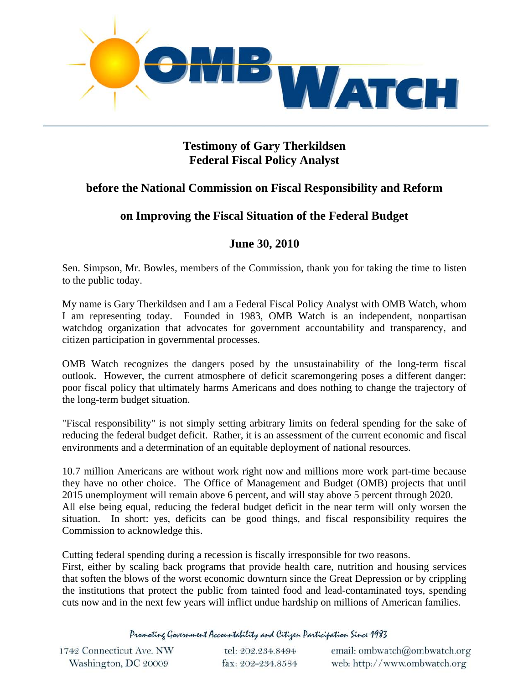

## **Testimony of Gary Therkildsen Federal Fiscal Policy Analyst**

## **before the National Commission on Fiscal Responsibility and Reform**

## **on Improving the Fiscal Situation of the Federal Budget**

## **June 30, 2010**

Sen. Simpson, Mr. Bowles, members of the Commission, thank you for taking the time to listen to the public today.

My name is Gary Therkildsen and I am a Federal Fiscal Policy Analyst with OMB Watch, whom I am representing today. Founded in 1983, OMB Watch is an independent, nonpartisan watchdog organization that advocates for government accountability and transparency, and citizen participation in governmental processes.

OMB Watch recognizes the dangers posed by the unsustainability of the long-term fiscal outlook. However, the current atmosphere of deficit scaremongering poses a different danger: poor fiscal policy that ultimately harms Americans and does nothing to change the trajectory of the long-term budget situation.

"Fiscal responsibility" is not simply setting arbitrary limits on federal spending for the sake of reducing the federal budget deficit. Rather, it is an assessment of the current economic and fiscal environments and a determination of an equitable deployment of national resources.

[10.7 million Americans are without work right now](http://www.bls.gov/news.release/archives/empsit_04022010.htm) and millions more work part-time because they have no other choice. The Office of Management and Budget (OMB) projects that until 2015 unemployment will remain above 6 percent, and will stay above 5 percent through 2020. All else being equal, reducing the federal budget deficit in the near term will only worsen the situation. In short: yes, deficits can be good things, and fiscal responsibility requires the Commission to acknowledge this.

Cutting federal spending during a recession is fiscally irresponsible for two reasons.

First, either by scaling back programs that provide health care, nutrition and housing services that soften the blows of the worst economic downturn since the Great Depression or by crippling the institutions that protect the public from tainted food and lead-contaminated toys, spending cuts now and in the next few years will inflict undue hardship on millions of American families.

Promoting Government Accountability and Citizen Participation Since 1983

| 1742 Connecticut Ave. NW | tel: 202.234.8494 | email: ombwatch@ombwatch.org |
|--------------------------|-------------------|------------------------------|
| Washington, DC 20009     | fax: 202-234.8584 | web: http://www.ombwatch.org |